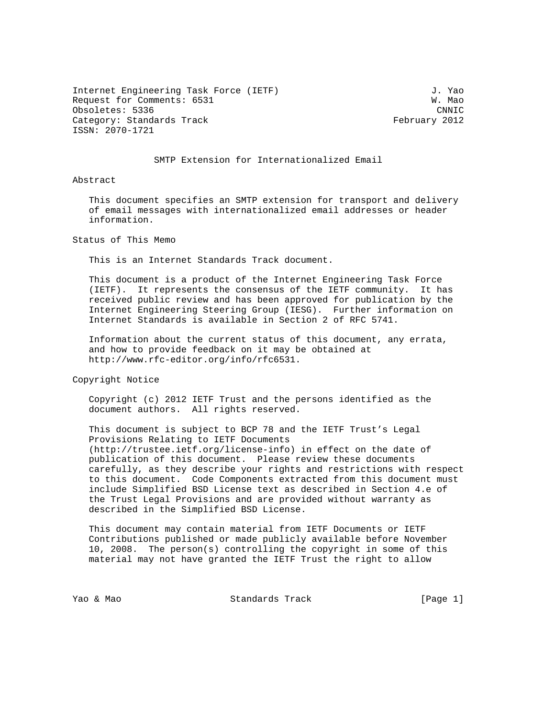Internet Engineering Task Force (IETF) 3. Yao Request for Comments: 6531 W. Mao Obsoletes: 5336 CNNIC Category: Standards Track February 2012 ISSN: 2070-1721

## SMTP Extension for Internationalized Email

Abstract

 This document specifies an SMTP extension for transport and delivery of email messages with internationalized email addresses or header information.

Status of This Memo

This is an Internet Standards Track document.

 This document is a product of the Internet Engineering Task Force (IETF). It represents the consensus of the IETF community. It has received public review and has been approved for publication by the Internet Engineering Steering Group (IESG). Further information on Internet Standards is available in Section 2 of RFC 5741.

 Information about the current status of this document, any errata, and how to provide feedback on it may be obtained at http://www.rfc-editor.org/info/rfc6531.

Copyright Notice

 Copyright (c) 2012 IETF Trust and the persons identified as the document authors. All rights reserved.

 This document is subject to BCP 78 and the IETF Trust's Legal Provisions Relating to IETF Documents (http://trustee.ietf.org/license-info) in effect on the date of publication of this document. Please review these documents carefully, as they describe your rights and restrictions with respect to this document. Code Components extracted from this document must include Simplified BSD License text as described in Section 4.e of the Trust Legal Provisions and are provided without warranty as described in the Simplified BSD License.

 This document may contain material from IETF Documents or IETF Contributions published or made publicly available before November 10, 2008. The person(s) controlling the copyright in some of this material may not have granted the IETF Trust the right to allow

Yao & Mao Standards Track [Page 1]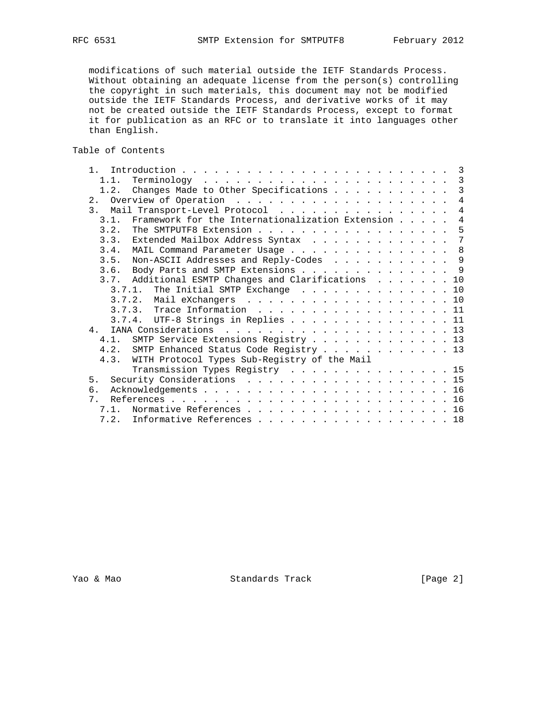modifications of such material outside the IETF Standards Process. Without obtaining an adequate license from the person(s) controlling the copyright in such materials, this document may not be modified outside the IETF Standards Process, and derivative works of it may not be created outside the IETF Standards Process, except to format it for publication as an RFC or to translate it into languages other than English.

Table of Contents

|                                |                                                             |  |  |  |                                                   |  |  | $\overline{4}$                                                                                                                                                                                                                                                                                                                                                                                                                                                                                                                                                                                                                                                                                 |
|--------------------------------|-------------------------------------------------------------|--|--|--|---------------------------------------------------|--|--|------------------------------------------------------------------------------------------------------------------------------------------------------------------------------------------------------------------------------------------------------------------------------------------------------------------------------------------------------------------------------------------------------------------------------------------------------------------------------------------------------------------------------------------------------------------------------------------------------------------------------------------------------------------------------------------------|
|                                |                                                             |  |  |  |                                                   |  |  | $\overline{4}$                                                                                                                                                                                                                                                                                                                                                                                                                                                                                                                                                                                                                                                                                 |
|                                |                                                             |  |  |  |                                                   |  |  | $\overline{4}$                                                                                                                                                                                                                                                                                                                                                                                                                                                                                                                                                                                                                                                                                 |
| 3.2.                           |                                                             |  |  |  |                                                   |  |  | 5                                                                                                                                                                                                                                                                                                                                                                                                                                                                                                                                                                                                                                                                                              |
|                                |                                                             |  |  |  |                                                   |  |  | 7                                                                                                                                                                                                                                                                                                                                                                                                                                                                                                                                                                                                                                                                                              |
|                                |                                                             |  |  |  |                                                   |  |  |                                                                                                                                                                                                                                                                                                                                                                                                                                                                                                                                                                                                                                                                                                |
|                                |                                                             |  |  |  |                                                   |  |  |                                                                                                                                                                                                                                                                                                                                                                                                                                                                                                                                                                                                                                                                                                |
|                                |                                                             |  |  |  |                                                   |  |  |                                                                                                                                                                                                                                                                                                                                                                                                                                                                                                                                                                                                                                                                                                |
|                                |                                                             |  |  |  |                                                   |  |  |                                                                                                                                                                                                                                                                                                                                                                                                                                                                                                                                                                                                                                                                                                |
|                                |                                                             |  |  |  |                                                   |  |  |                                                                                                                                                                                                                                                                                                                                                                                                                                                                                                                                                                                                                                                                                                |
|                                |                                                             |  |  |  |                                                   |  |  |                                                                                                                                                                                                                                                                                                                                                                                                                                                                                                                                                                                                                                                                                                |
|                                |                                                             |  |  |  |                                                   |  |  | 11                                                                                                                                                                                                                                                                                                                                                                                                                                                                                                                                                                                                                                                                                             |
|                                |                                                             |  |  |  |                                                   |  |  |                                                                                                                                                                                                                                                                                                                                                                                                                                                                                                                                                                                                                                                                                                |
|                                |                                                             |  |  |  |                                                   |  |  |                                                                                                                                                                                                                                                                                                                                                                                                                                                                                                                                                                                                                                                                                                |
|                                |                                                             |  |  |  |                                                   |  |  |                                                                                                                                                                                                                                                                                                                                                                                                                                                                                                                                                                                                                                                                                                |
|                                |                                                             |  |  |  |                                                   |  |  |                                                                                                                                                                                                                                                                                                                                                                                                                                                                                                                                                                                                                                                                                                |
|                                |                                                             |  |  |  |                                                   |  |  |                                                                                                                                                                                                                                                                                                                                                                                                                                                                                                                                                                                                                                                                                                |
|                                |                                                             |  |  |  |                                                   |  |  |                                                                                                                                                                                                                                                                                                                                                                                                                                                                                                                                                                                                                                                                                                |
|                                |                                                             |  |  |  |                                                   |  |  |                                                                                                                                                                                                                                                                                                                                                                                                                                                                                                                                                                                                                                                                                                |
|                                |                                                             |  |  |  |                                                   |  |  |                                                                                                                                                                                                                                                                                                                                                                                                                                                                                                                                                                                                                                                                                                |
|                                |                                                             |  |  |  |                                                   |  |  | 16                                                                                                                                                                                                                                                                                                                                                                                                                                                                                                                                                                                                                                                                                             |
| 7.1.                           |                                                             |  |  |  |                                                   |  |  |                                                                                                                                                                                                                                                                                                                                                                                                                                                                                                                                                                                                                                                                                                |
| 7.2. Informative References 18 |                                                             |  |  |  |                                                   |  |  |                                                                                                                                                                                                                                                                                                                                                                                                                                                                                                                                                                                                                                                                                                |
|                                | 1 <sup>1</sup><br>$\overline{4}$<br>5.<br>б.<br>$7^{\circ}$ |  |  |  | 4.3. WITH Protocol Types Sub-Registry of the Mail |  |  | 1.2. Changes Made to Other Specifications 3<br>3. Mail Transport-Level Protocol<br>3.1. Framework for the Internationalization Extension<br>The SMTPUTF8 Extension<br>3.3. Extended Mailbox Address Syntax<br>3.4. MAIL Command Parameter Usage 8<br>3.5. Non-ASCII Addresses and Reply-Codes 9<br>3.6. Body Parts and SMTP Extensions 9<br>3.7. Additional ESMTP Changes and Clarifications 10<br>3.7.1. The Initial SMTP Exchange 10<br>3.7.2. Mail eXchangers 10<br>3.7.4. UTF-8 Strings in Replies 11<br>4.1. SMTP Service Extensions Registry 13<br>4.2. SMTP Enhanced Status Code Registry 13<br>Transmission Types Registry 15<br>Security Considerations 15<br>Normative References 16 |

Yao & Mao Standards Track [Page 2]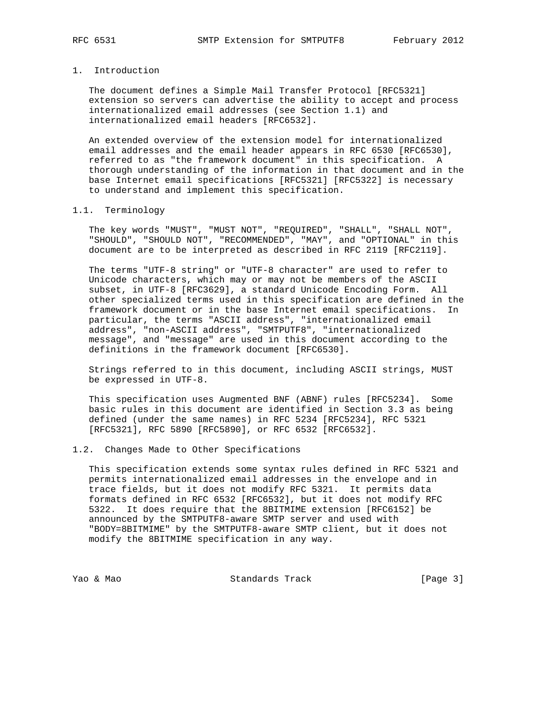# 1. Introduction

 The document defines a Simple Mail Transfer Protocol [RFC5321] extension so servers can advertise the ability to accept and process internationalized email addresses (see Section 1.1) and internationalized email headers [RFC6532].

 An extended overview of the extension model for internationalized email addresses and the email header appears in RFC 6530 [RFC6530], referred to as "the framework document" in this specification. A thorough understanding of the information in that document and in the base Internet email specifications [RFC5321] [RFC5322] is necessary to understand and implement this specification.

#### 1.1. Terminology

 The key words "MUST", "MUST NOT", "REQUIRED", "SHALL", "SHALL NOT", "SHOULD", "SHOULD NOT", "RECOMMENDED", "MAY", and "OPTIONAL" in this document are to be interpreted as described in RFC 2119 [RFC2119].

 The terms "UTF-8 string" or "UTF-8 character" are used to refer to Unicode characters, which may or may not be members of the ASCII subset, in UTF-8 [RFC3629], a standard Unicode Encoding Form. All other specialized terms used in this specification are defined in the framework document or in the base Internet email specifications. In particular, the terms "ASCII address", "internationalized email address", "non-ASCII address", "SMTPUTF8", "internationalized message", and "message" are used in this document according to the definitions in the framework document [RFC6530].

 Strings referred to in this document, including ASCII strings, MUST be expressed in UTF-8.

 This specification uses Augmented BNF (ABNF) rules [RFC5234]. Some basic rules in this document are identified in Section 3.3 as being defined (under the same names) in RFC 5234 [RFC5234], RFC 5321 [RFC5321], RFC 5890 [RFC5890], or RFC 6532 [RFC6532].

#### 1.2. Changes Made to Other Specifications

 This specification extends some syntax rules defined in RFC 5321 and permits internationalized email addresses in the envelope and in trace fields, but it does not modify RFC 5321. It permits data formats defined in RFC 6532 [RFC6532], but it does not modify RFC 5322. It does require that the 8BITMIME extension [RFC6152] be announced by the SMTPUTF8-aware SMTP server and used with "BODY=8BITMIME" by the SMTPUTF8-aware SMTP client, but it does not modify the 8BITMIME specification in any way.

Yao & Mao Standards Track [Page 3]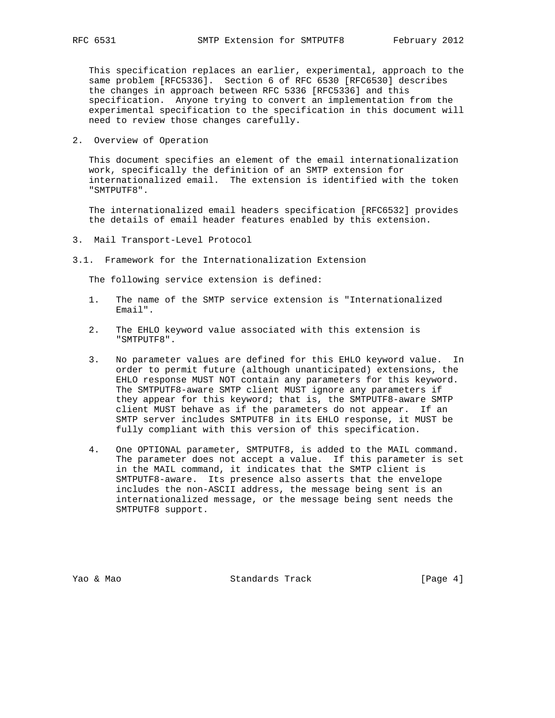This specification replaces an earlier, experimental, approach to the same problem [RFC5336]. Section 6 of RFC 6530 [RFC6530] describes the changes in approach between RFC 5336 [RFC5336] and this specification. Anyone trying to convert an implementation from the experimental specification to the specification in this document will need to review those changes carefully.

2. Overview of Operation

 This document specifies an element of the email internationalization work, specifically the definition of an SMTP extension for internationalized email. The extension is identified with the token "SMTPUTF8".

 The internationalized email headers specification [RFC6532] provides the details of email header features enabled by this extension.

- 3. Mail Transport-Level Protocol
- 3.1. Framework for the Internationalization Extension

The following service extension is defined:

- 1. The name of the SMTP service extension is "Internationalized Email".
- 2. The EHLO keyword value associated with this extension is "SMTPUTF8".
- 3. No parameter values are defined for this EHLO keyword value. In order to permit future (although unanticipated) extensions, the EHLO response MUST NOT contain any parameters for this keyword. The SMTPUTF8-aware SMTP client MUST ignore any parameters if they appear for this keyword; that is, the SMTPUTF8-aware SMTP client MUST behave as if the parameters do not appear. If an SMTP server includes SMTPUTF8 in its EHLO response, it MUST be fully compliant with this version of this specification.
- 4. One OPTIONAL parameter, SMTPUTF8, is added to the MAIL command. The parameter does not accept a value. If this parameter is set in the MAIL command, it indicates that the SMTP client is SMTPUTF8-aware. Its presence also asserts that the envelope includes the non-ASCII address, the message being sent is an internationalized message, or the message being sent needs the SMTPUTF8 support.

Yao & Mao Standards Track [Page 4]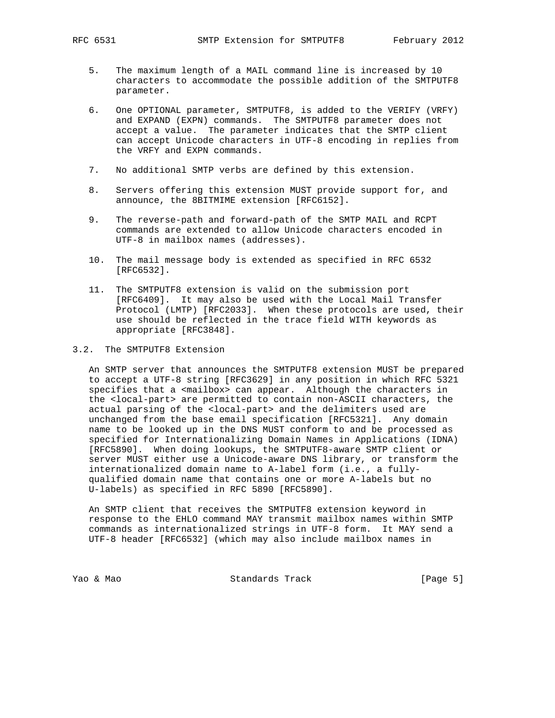- 5. The maximum length of a MAIL command line is increased by 10 characters to accommodate the possible addition of the SMTPUTF8 parameter.
- 6. One OPTIONAL parameter, SMTPUTF8, is added to the VERIFY (VRFY) and EXPAND (EXPN) commands. The SMTPUTF8 parameter does not accept a value. The parameter indicates that the SMTP client can accept Unicode characters in UTF-8 encoding in replies from the VRFY and EXPN commands.
- 7. No additional SMTP verbs are defined by this extension.
- 8. Servers offering this extension MUST provide support for, and announce, the 8BITMIME extension [RFC6152].
- 9. The reverse-path and forward-path of the SMTP MAIL and RCPT commands are extended to allow Unicode characters encoded in UTF-8 in mailbox names (addresses).
- 10. The mail message body is extended as specified in RFC 6532 [RFC6532].
- 11. The SMTPUTF8 extension is valid on the submission port [RFC6409]. It may also be used with the Local Mail Transfer Protocol (LMTP) [RFC2033]. When these protocols are used, their use should be reflected in the trace field WITH keywords as appropriate [RFC3848].
- 3.2. The SMTPUTF8 Extension

 An SMTP server that announces the SMTPUTF8 extension MUST be prepared to accept a UTF-8 string [RFC3629] in any position in which RFC 5321 specifies that a <mailbox> can appear. Although the characters in the <local-part> are permitted to contain non-ASCII characters, the actual parsing of the <local-part> and the delimiters used are unchanged from the base email specification [RFC5321]. Any domain name to be looked up in the DNS MUST conform to and be processed as specified for Internationalizing Domain Names in Applications (IDNA) [RFC5890]. When doing lookups, the SMTPUTF8-aware SMTP client or server MUST either use a Unicode-aware DNS library, or transform the internationalized domain name to A-label form (i.e., a fully qualified domain name that contains one or more A-labels but no U-labels) as specified in RFC 5890 [RFC5890].

 An SMTP client that receives the SMTPUTF8 extension keyword in response to the EHLO command MAY transmit mailbox names within SMTP commands as internationalized strings in UTF-8 form. It MAY send a UTF-8 header [RFC6532] (which may also include mailbox names in

Yao & Mao Standards Track [Page 5]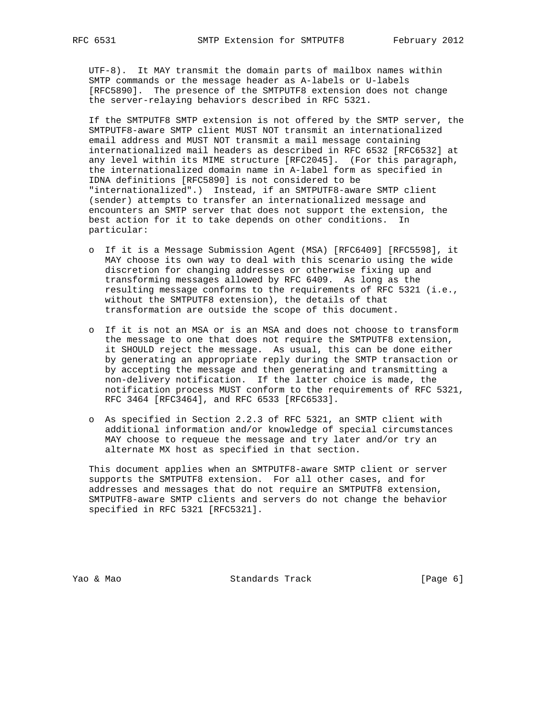UTF-8). It MAY transmit the domain parts of mailbox names within SMTP commands or the message header as A-labels or U-labels [RFC5890]. The presence of the SMTPUTF8 extension does not change the server-relaying behaviors described in RFC 5321.

 If the SMTPUTF8 SMTP extension is not offered by the SMTP server, the SMTPUTF8-aware SMTP client MUST NOT transmit an internationalized email address and MUST NOT transmit a mail message containing internationalized mail headers as described in RFC 6532 [RFC6532] at any level within its MIME structure [RFC2045]. (For this paragraph, the internationalized domain name in A-label form as specified in IDNA definitions [RFC5890] is not considered to be "internationalized".) Instead, if an SMTPUTF8-aware SMTP client (sender) attempts to transfer an internationalized message and encounters an SMTP server that does not support the extension, the best action for it to take depends on other conditions. In particular:

- o If it is a Message Submission Agent (MSA) [RFC6409] [RFC5598], it MAY choose its own way to deal with this scenario using the wide discretion for changing addresses or otherwise fixing up and transforming messages allowed by RFC 6409. As long as the resulting message conforms to the requirements of RFC 5321 (i.e., without the SMTPUTF8 extension), the details of that transformation are outside the scope of this document.
- o If it is not an MSA or is an MSA and does not choose to transform the message to one that does not require the SMTPUTF8 extension, it SHOULD reject the message. As usual, this can be done either by generating an appropriate reply during the SMTP transaction or by accepting the message and then generating and transmitting a non-delivery notification. If the latter choice is made, the notification process MUST conform to the requirements of RFC 5321, RFC 3464 [RFC3464], and RFC 6533 [RFC6533].
- o As specified in Section 2.2.3 of RFC 5321, an SMTP client with additional information and/or knowledge of special circumstances MAY choose to requeue the message and try later and/or try an alternate MX host as specified in that section.

 This document applies when an SMTPUTF8-aware SMTP client or server supports the SMTPUTF8 extension. For all other cases, and for addresses and messages that do not require an SMTPUTF8 extension, SMTPUTF8-aware SMTP clients and servers do not change the behavior specified in RFC 5321 [RFC5321].

Yao & Mao Standards Track [Page 6]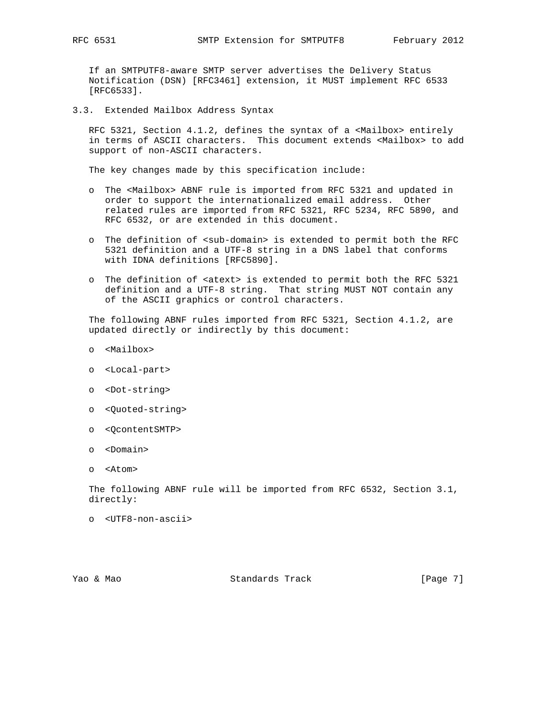If an SMTPUTF8-aware SMTP server advertises the Delivery Status Notification (DSN) [RFC3461] extension, it MUST implement RFC 6533 [RFC6533].

3.3. Extended Mailbox Address Syntax

RFC 5321, Section 4.1.2, defines the syntax of a <Mailbox> entirely in terms of ASCII characters. This document extends <Mailbox> to add support of non-ASCII characters.

The key changes made by this specification include:

- o The <Mailbox> ABNF rule is imported from RFC 5321 and updated in order to support the internationalized email address. Other related rules are imported from RFC 5321, RFC 5234, RFC 5890, and RFC 6532, or are extended in this document.
- o The definition of <sub-domain> is extended to permit both the RFC 5321 definition and a UTF-8 string in a DNS label that conforms with IDNA definitions [RFC5890].
- o The definition of <atext> is extended to permit both the RFC 5321 definition and a UTF-8 string. That string MUST NOT contain any of the ASCII graphics or control characters.

 The following ABNF rules imported from RFC 5321, Section 4.1.2, are updated directly or indirectly by this document:

- o <Mailbox>
- o <Local-part>
- o <Dot-string>
- o <Quoted-string>
- o <QcontentSMTP>
- o <Domain>
- o <Atom>

 The following ABNF rule will be imported from RFC 6532, Section 3.1, directly:

o <UTF8-non-ascii>

Yao & Mao Standards Track [Page 7]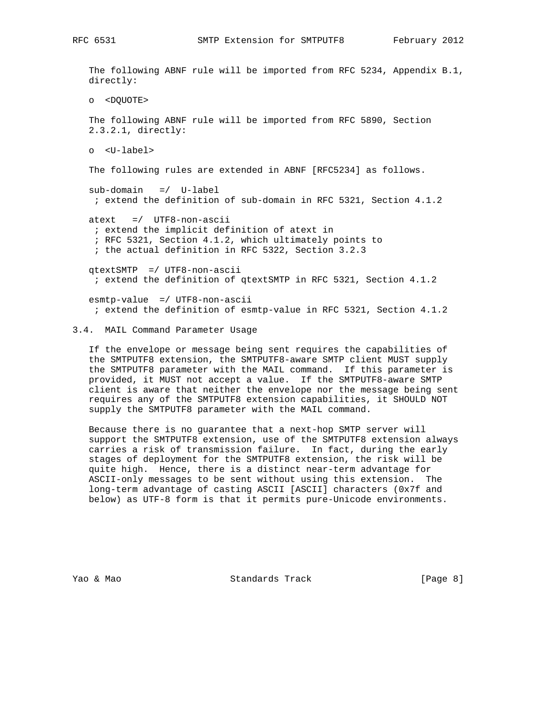RFC 6531 SMTP Extension for SMTPUTF8 February 2012

 The following ABNF rule will be imported from RFC 5234, Appendix B.1, directly: o <DQUOTE> The following ABNF rule will be imported from RFC 5890, Section 2.3.2.1, directly: o <U-label> The following rules are extended in ABNF [RFC5234] as follows. sub-domain =/ U-label ; extend the definition of sub-domain in RFC 5321, Section 4.1.2 atext =/ UTF8-non-ascii ; extend the implicit definition of atext in ; RFC 5321, Section 4.1.2, which ultimately points to ; the actual definition in RFC 5322, Section 3.2.3 qtextSMTP =/ UTF8-non-ascii ; extend the definition of qtextSMTP in RFC 5321, Section 4.1.2 esmtp-value =/ UTF8-non-ascii

# 3.4. MAIL Command Parameter Usage

 If the envelope or message being sent requires the capabilities of the SMTPUTF8 extension, the SMTPUTF8-aware SMTP client MUST supply the SMTPUTF8 parameter with the MAIL command. If this parameter is provided, it MUST not accept a value. If the SMTPUTF8-aware SMTP client is aware that neither the envelope nor the message being sent requires any of the SMTPUTF8 extension capabilities, it SHOULD NOT supply the SMTPUTF8 parameter with the MAIL command.

; extend the definition of esmtp-value in RFC 5321, Section 4.1.2

 Because there is no guarantee that a next-hop SMTP server will support the SMTPUTF8 extension, use of the SMTPUTF8 extension always carries a risk of transmission failure. In fact, during the early stages of deployment for the SMTPUTF8 extension, the risk will be quite high. Hence, there is a distinct near-term advantage for ASCII-only messages to be sent without using this extension. The long-term advantage of casting ASCII [ASCII] characters (0x7f and below) as UTF-8 form is that it permits pure-Unicode environments.

Yao & Mao Standards Track [Page 8]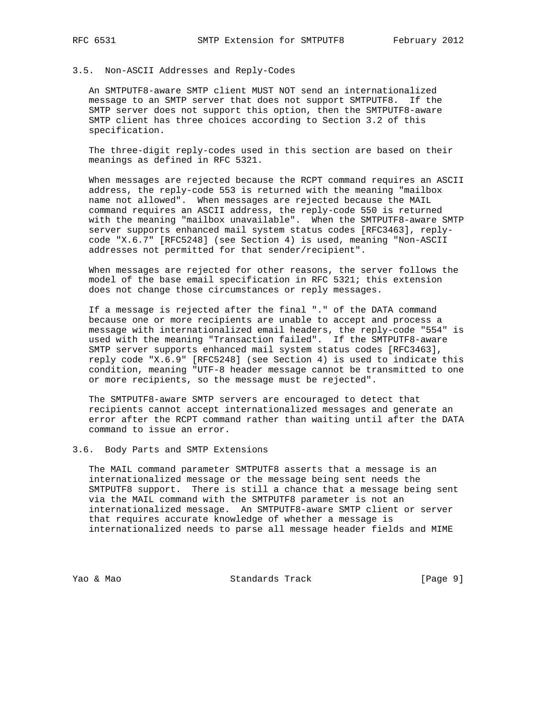#### 3.5. Non-ASCII Addresses and Reply-Codes

 An SMTPUTF8-aware SMTP client MUST NOT send an internationalized message to an SMTP server that does not support SMTPUTF8. If the SMTP server does not support this option, then the SMTPUTF8-aware SMTP client has three choices according to Section 3.2 of this specification.

 The three-digit reply-codes used in this section are based on their meanings as defined in RFC 5321.

 When messages are rejected because the RCPT command requires an ASCII address, the reply-code 553 is returned with the meaning "mailbox name not allowed". When messages are rejected because the MAIL command requires an ASCII address, the reply-code 550 is returned with the meaning "mailbox unavailable". When the SMTPUTF8-aware SMTP server supports enhanced mail system status codes [RFC3463], reply code "X.6.7" [RFC5248] (see Section 4) is used, meaning "Non-ASCII addresses not permitted for that sender/recipient".

 When messages are rejected for other reasons, the server follows the model of the base email specification in RFC 5321; this extension does not change those circumstances or reply messages.

 If a message is rejected after the final "." of the DATA command because one or more recipients are unable to accept and process a message with internationalized email headers, the reply-code "554" is used with the meaning "Transaction failed". If the SMTPUTF8-aware SMTP server supports enhanced mail system status codes [RFC3463], reply code "X.6.9" [RFC5248] (see Section 4) is used to indicate this condition, meaning "UTF-8 header message cannot be transmitted to one or more recipients, so the message must be rejected".

 The SMTPUTF8-aware SMTP servers are encouraged to detect that recipients cannot accept internationalized messages and generate an error after the RCPT command rather than waiting until after the DATA command to issue an error.

## 3.6. Body Parts and SMTP Extensions

 The MAIL command parameter SMTPUTF8 asserts that a message is an internationalized message or the message being sent needs the SMTPUTF8 support. There is still a chance that a message being sent via the MAIL command with the SMTPUTF8 parameter is not an internationalized message. An SMTPUTF8-aware SMTP client or server that requires accurate knowledge of whether a message is internationalized needs to parse all message header fields and MIME

Yao & Mao Standards Track [Page 9]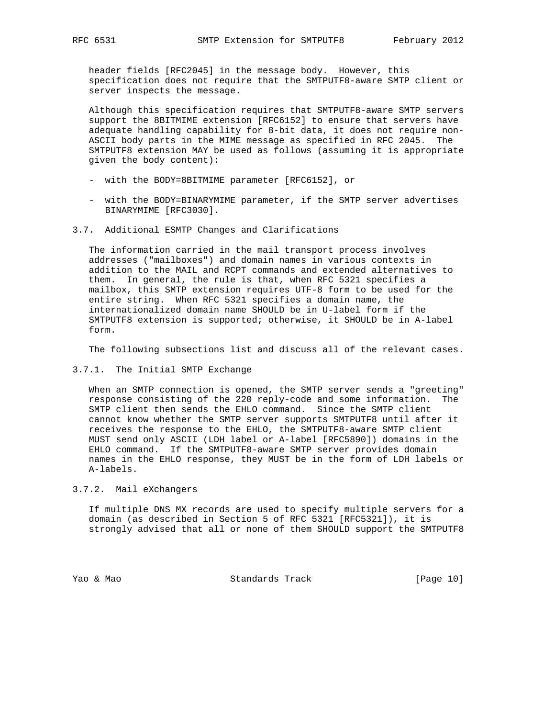header fields [RFC2045] in the message body. However, this specification does not require that the SMTPUTF8-aware SMTP client or server inspects the message.

 Although this specification requires that SMTPUTF8-aware SMTP servers support the 8BITMIME extension [RFC6152] to ensure that servers have adequate handling capability for 8-bit data, it does not require non- ASCII body parts in the MIME message as specified in RFC 2045. The SMTPUTF8 extension MAY be used as follows (assuming it is appropriate given the body content):

- with the BODY=8BITMIME parameter [RFC6152], or
- with the BODY=BINARYMIME parameter, if the SMTP server advertises BINARYMIME [RFC3030].
- 3.7. Additional ESMTP Changes and Clarifications

 The information carried in the mail transport process involves addresses ("mailboxes") and domain names in various contexts in addition to the MAIL and RCPT commands and extended alternatives to them. In general, the rule is that, when RFC 5321 specifies a mailbox, this SMTP extension requires UTF-8 form to be used for the entire string. When RFC 5321 specifies a domain name, the internationalized domain name SHOULD be in U-label form if the SMTPUTF8 extension is supported; otherwise, it SHOULD be in A-label form.

The following subsections list and discuss all of the relevant cases.

3.7.1. The Initial SMTP Exchange

 When an SMTP connection is opened, the SMTP server sends a "greeting" response consisting of the 220 reply-code and some information. The SMTP client then sends the EHLO command. Since the SMTP client cannot know whether the SMTP server supports SMTPUTF8 until after it receives the response to the EHLO, the SMTPUTF8-aware SMTP client MUST send only ASCII (LDH label or A-label [RFC5890]) domains in the EHLO command. If the SMTPUTF8-aware SMTP server provides domain names in the EHLO response, they MUST be in the form of LDH labels or A-labels.

# 3.7.2. Mail eXchangers

 If multiple DNS MX records are used to specify multiple servers for a domain (as described in Section 5 of RFC 5321 [RFC5321]), it is strongly advised that all or none of them SHOULD support the SMTPUTF8

Yao & Mao Standards Track [Page 10]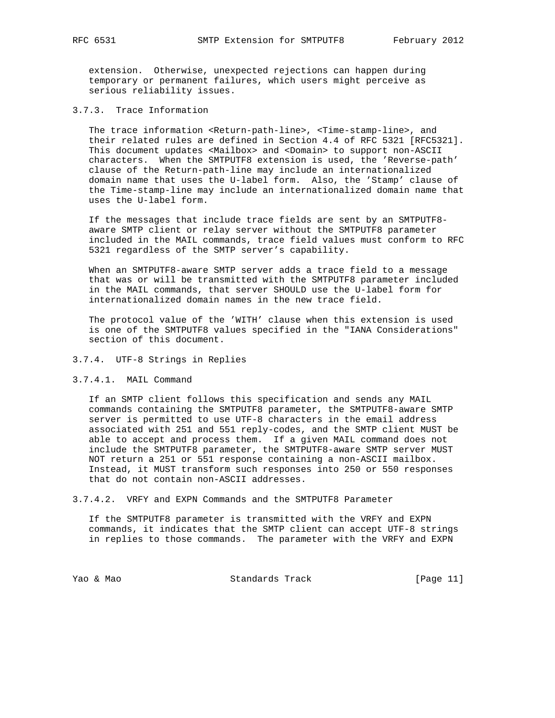extension. Otherwise, unexpected rejections can happen during temporary or permanent failures, which users might perceive as serious reliability issues.

3.7.3. Trace Information

The trace information <Return-path-line>, <Time-stamp-line>, and their related rules are defined in Section 4.4 of RFC 5321 [RFC5321]. This document updates <Mailbox> and <Domain> to support non-ASCII characters. When the SMTPUTF8 extension is used, the 'Reverse-path' clause of the Return-path-line may include an internationalized domain name that uses the U-label form. Also, the 'Stamp' clause of the Time-stamp-line may include an internationalized domain name that uses the U-label form.

 If the messages that include trace fields are sent by an SMTPUTF8 aware SMTP client or relay server without the SMTPUTF8 parameter included in the MAIL commands, trace field values must conform to RFC 5321 regardless of the SMTP server's capability.

 When an SMTPUTF8-aware SMTP server adds a trace field to a message that was or will be transmitted with the SMTPUTF8 parameter included in the MAIL commands, that server SHOULD use the U-label form for internationalized domain names in the new trace field.

 The protocol value of the 'WITH' clause when this extension is used is one of the SMTPUTF8 values specified in the "IANA Considerations" section of this document.

#### 3.7.4. UTF-8 Strings in Replies

#### 3.7.4.1. MAIL Command

 If an SMTP client follows this specification and sends any MAIL commands containing the SMTPUTF8 parameter, the SMTPUTF8-aware SMTP server is permitted to use UTF-8 characters in the email address associated with 251 and 551 reply-codes, and the SMTP client MUST be able to accept and process them. If a given MAIL command does not include the SMTPUTF8 parameter, the SMTPUTF8-aware SMTP server MUST NOT return a 251 or 551 response containing a non-ASCII mailbox. Instead, it MUST transform such responses into 250 or 550 responses that do not contain non-ASCII addresses.

3.7.4.2. VRFY and EXPN Commands and the SMTPUTF8 Parameter

 If the SMTPUTF8 parameter is transmitted with the VRFY and EXPN commands, it indicates that the SMTP client can accept UTF-8 strings in replies to those commands. The parameter with the VRFY and EXPN

Yao & Mao Standards Track [Page 11]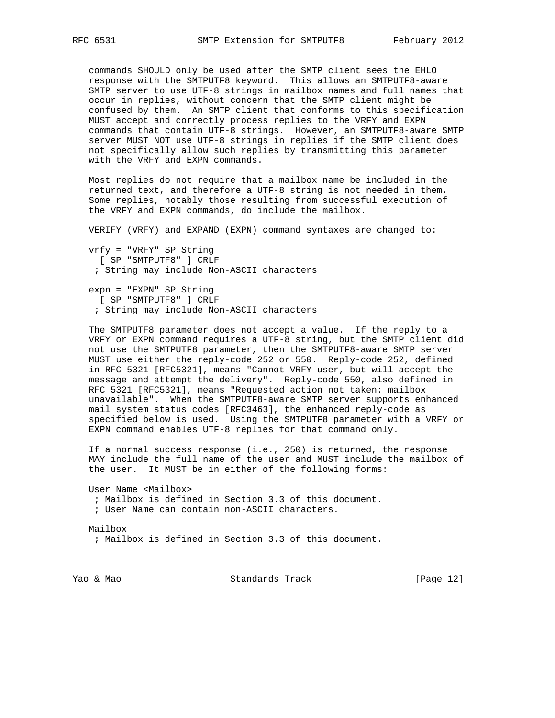commands SHOULD only be used after the SMTP client sees the EHLO response with the SMTPUTF8 keyword. This allows an SMTPUTF8-aware SMTP server to use UTF-8 strings in mailbox names and full names that occur in replies, without concern that the SMTP client might be confused by them. An SMTP client that conforms to this specification MUST accept and correctly process replies to the VRFY and EXPN commands that contain UTF-8 strings. However, an SMTPUTF8-aware SMTP server MUST NOT use UTF-8 strings in replies if the SMTP client does not specifically allow such replies by transmitting this parameter with the VRFY and EXPN commands.

 Most replies do not require that a mailbox name be included in the returned text, and therefore a UTF-8 string is not needed in them. Some replies, notably those resulting from successful execution of the VRFY and EXPN commands, do include the mailbox.

VERIFY (VRFY) and EXPAND (EXPN) command syntaxes are changed to:

 vrfy = "VRFY" SP String [ SP "SMTPUTF8" ] CRLF ; String may include Non-ASCII characters

 expn = "EXPN" SP String [ SP "SMTPUTF8" ] CRLF ; String may include Non-ASCII characters

 The SMTPUTF8 parameter does not accept a value. If the reply to a VRFY or EXPN command requires a UTF-8 string, but the SMTP client did not use the SMTPUTF8 parameter, then the SMTPUTF8-aware SMTP server MUST use either the reply-code 252 or 550. Reply-code 252, defined in RFC 5321 [RFC5321], means "Cannot VRFY user, but will accept the message and attempt the delivery". Reply-code 550, also defined in RFC 5321 [RFC5321], means "Requested action not taken: mailbox unavailable". When the SMTPUTF8-aware SMTP server supports enhanced mail system status codes [RFC3463], the enhanced reply-code as specified below is used. Using the SMTPUTF8 parameter with a VRFY or EXPN command enables UTF-8 replies for that command only.

 If a normal success response (i.e., 250) is returned, the response MAY include the full name of the user and MUST include the mailbox of the user. It MUST be in either of the following forms:

 User Name <Mailbox> ; Mailbox is defined in Section 3.3 of this document. ; User Name can contain non-ASCII characters.

 Mailbox ; Mailbox is defined in Section 3.3 of this document.

Yao & Mao Standards Track [Page 12]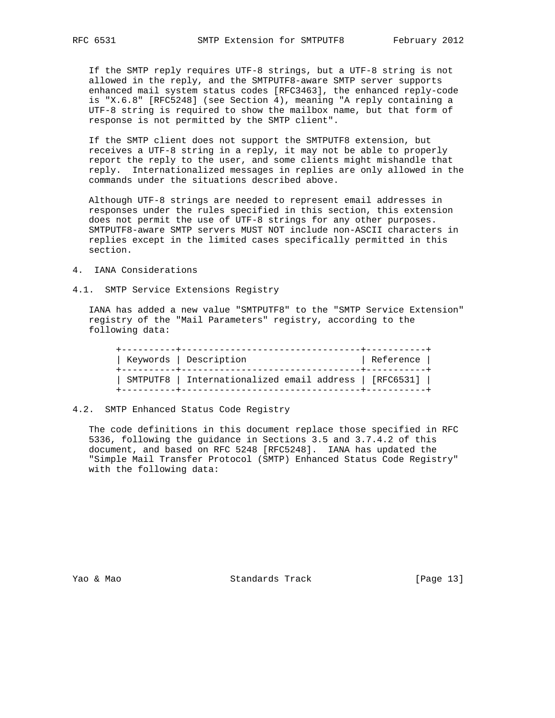If the SMTP reply requires UTF-8 strings, but a UTF-8 string is not allowed in the reply, and the SMTPUTF8-aware SMTP server supports enhanced mail system status codes [RFC3463], the enhanced reply-code is "X.6.8" [RFC5248] (see Section 4), meaning "A reply containing a UTF-8 string is required to show the mailbox name, but that form of response is not permitted by the SMTP client".

 If the SMTP client does not support the SMTPUTF8 extension, but receives a UTF-8 string in a reply, it may not be able to properly report the reply to the user, and some clients might mishandle that reply. Internationalized messages in replies are only allowed in the commands under the situations described above.

 Although UTF-8 strings are needed to represent email addresses in responses under the rules specified in this section, this extension does not permit the use of UTF-8 strings for any other purposes. SMTPUTF8-aware SMTP servers MUST NOT include non-ASCII characters in replies except in the limited cases specifically permitted in this section.

- 4. IANA Considerations
- 4.1. SMTP Service Extensions Registry

 IANA has added a new value "SMTPUTF8" to the "SMTP Service Extension" registry of the "Mail Parameters" registry, according to the following data:

| Keywords   Description<br>---------+----------------   | Reference |
|--------------------------------------------------------|-----------|
| SMTPUTF8   Internationalized email address   [RFC6531] |           |

## 4.2. SMTP Enhanced Status Code Registry

 The code definitions in this document replace those specified in RFC 5336, following the guidance in Sections 3.5 and 3.7.4.2 of this document, and based on RFC 5248 [RFC5248]. IANA has updated the "Simple Mail Transfer Protocol (SMTP) Enhanced Status Code Registry" with the following data:

Yao & Mao Standards Track [Page 13]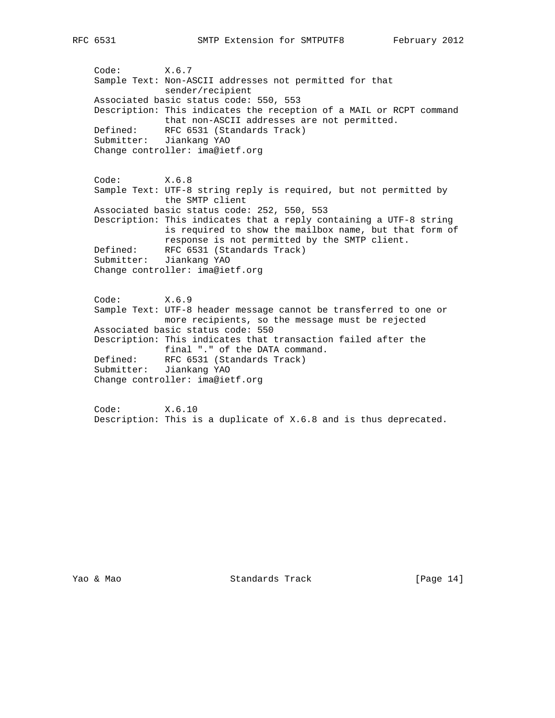Code: X.6.7 Sample Text: Non-ASCII addresses not permitted for that sender/recipient Associated basic status code: 550, 553 Description: This indicates the reception of a MAIL or RCPT command that non-ASCII addresses are not permitted. Defined: RFC 6531 (Standards Track) Submitter: Jiankang YAO Change controller: ima@ietf.org Code: X.6.8 Sample Text: UTF-8 string reply is required, but not permitted by the SMTP client Associated basic status code: 252, 550, 553 Description: This indicates that a reply containing a UTF-8 string is required to show the mailbox name, but that form of response is not permitted by the SMTP client. Defined: RFC 6531 (Standards Track) Submitter: Jiankang YAO Change controller: ima@ietf.org Code: X.6.9 Sample Text: UTF-8 header message cannot be transferred to one or more recipients, so the message must be rejected Associated basic status code: 550 Description: This indicates that transaction failed after the final "." of the DATA command. Defined: RFC 6531 (Standards Track) Submitter: Jiankang YAO Change controller: ima@ietf.org

 Code: X.6.10 Description: This is a duplicate of X.6.8 and is thus deprecated.

Yao & Mao Standards Track [Page 14]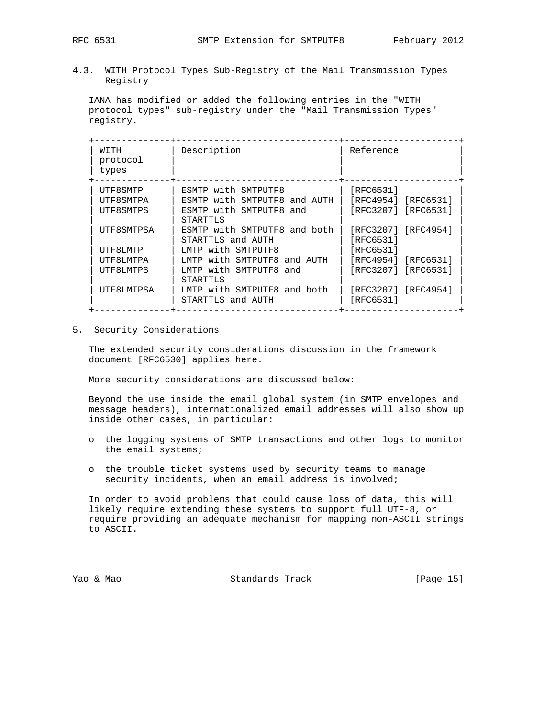4.3. WITH Protocol Types Sub-Registry of the Mail Transmission Types Registry

 IANA has modified or added the following entries in the "WITH protocol types" sub-registry under the "Mail Transmission Types" registry.

| WTTH<br>protocol<br>types | Description                                       | Reference                        |
|---------------------------|---------------------------------------------------|----------------------------------|
| UTF8SMTP                  | ESMTP with SMTPUTF8                               | [RFC6531]                        |
| UTF8SMTPA                 | ESMTP with SMTPUTF8 and AUTH                      | [RFC4954] [RFC6531]              |
| UTF8SMTPS                 | ESMTP with SMTPUTF8 and<br>STARTTLS               | [RFC3207] [RFC6531]              |
| UTF8SMTPSA                | ESMTP with SMTPUTF8 and both<br>STARTTLS and AUTH | [RFC3207] [RFC4954]<br>[RFC6531] |
| UTF8LMTP                  | LMTP with SMTPUTF8                                | [RFC6531]                        |
| UTF8LMTPA                 | LMTP with SMTPUTF8 and AUTH                       | [RFC4954] [RFC6531]              |
| UTF8LMTPS                 | LMTP with SMTPUTF8 and<br>STARTTLS                | [RFC3207] [RFC6531]              |
| UTF8LMTPSA                | LMTP with SMTPUTF8 and both<br>STARTTLS and AUTH  | [RFC3207] [RFC4954]<br>[RFC6531] |

5. Security Considerations

 The extended security considerations discussion in the framework document [RFC6530] applies here.

More security considerations are discussed below:

 Beyond the use inside the email global system (in SMTP envelopes and message headers), internationalized email addresses will also show up inside other cases, in particular:

- o the logging systems of SMTP transactions and other logs to monitor the email systems;
- o the trouble ticket systems used by security teams to manage security incidents, when an email address is involved;

 In order to avoid problems that could cause loss of data, this will likely require extending these systems to support full UTF-8, or require providing an adequate mechanism for mapping non-ASCII strings to ASCII.

Yao & Mao Standards Track [Page 15]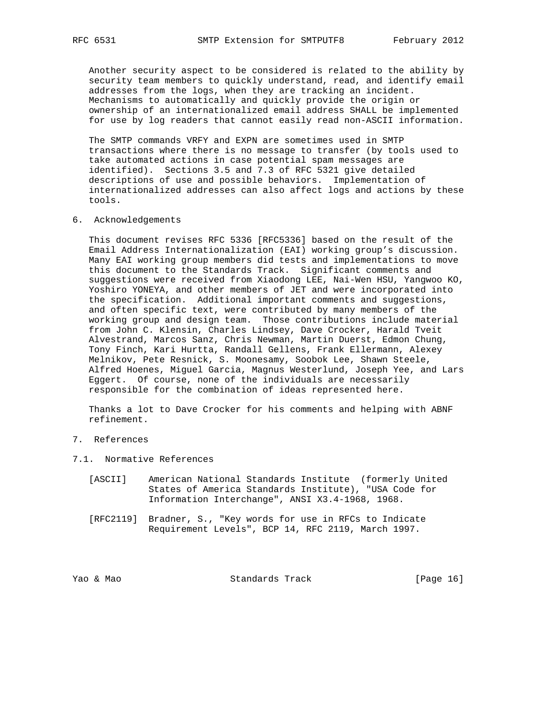Another security aspect to be considered is related to the ability by security team members to quickly understand, read, and identify email addresses from the logs, when they are tracking an incident. Mechanisms to automatically and quickly provide the origin or ownership of an internationalized email address SHALL be implemented for use by log readers that cannot easily read non-ASCII information.

 The SMTP commands VRFY and EXPN are sometimes used in SMTP transactions where there is no message to transfer (by tools used to take automated actions in case potential spam messages are identified). Sections 3.5 and 7.3 of RFC 5321 give detailed descriptions of use and possible behaviors. Implementation of internationalized addresses can also affect logs and actions by these tools.

6. Acknowledgements

 This document revises RFC 5336 [RFC5336] based on the result of the Email Address Internationalization (EAI) working group's discussion. Many EAI working group members did tests and implementations to move this document to the Standards Track. Significant comments and suggestions were received from Xiaodong LEE, Nai-Wen HSU, Yangwoo KO, Yoshiro YONEYA, and other members of JET and were incorporated into the specification. Additional important comments and suggestions, and often specific text, were contributed by many members of the working group and design team. Those contributions include material from John C. Klensin, Charles Lindsey, Dave Crocker, Harald Tveit Alvestrand, Marcos Sanz, Chris Newman, Martin Duerst, Edmon Chung, Tony Finch, Kari Hurtta, Randall Gellens, Frank Ellermann, Alexey Melnikov, Pete Resnick, S. Moonesamy, Soobok Lee, Shawn Steele, Alfred Hoenes, Miguel Garcia, Magnus Westerlund, Joseph Yee, and Lars Eggert. Of course, none of the individuals are necessarily responsible for the combination of ideas represented here.

 Thanks a lot to Dave Crocker for his comments and helping with ABNF refinement.

# 7. References

7.1. Normative References

- [ASCII] American National Standards Institute (formerly United States of America Standards Institute), "USA Code for Information Interchange", ANSI X3.4-1968, 1968.
- [RFC2119] Bradner, S., "Key words for use in RFCs to Indicate Requirement Levels", BCP 14, RFC 2119, March 1997.

Yao & Mao Standards Track [Page 16]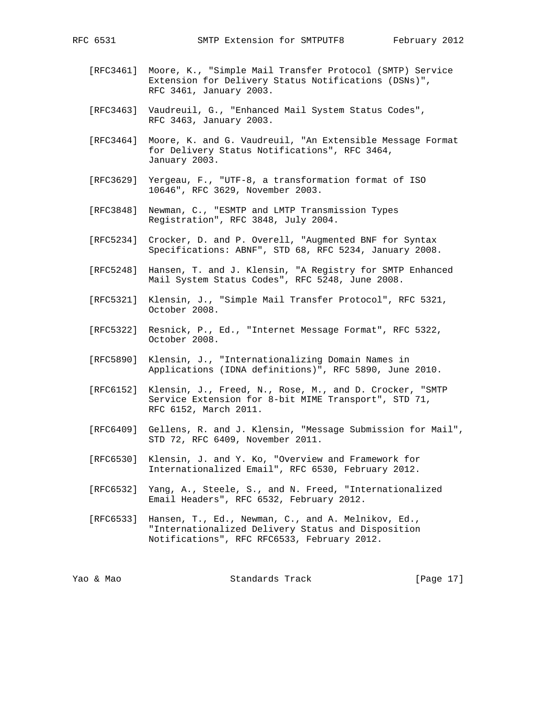- [RFC3461] Moore, K., "Simple Mail Transfer Protocol (SMTP) Service Extension for Delivery Status Notifications (DSNs)", RFC 3461, January 2003.
- [RFC3463] Vaudreuil, G., "Enhanced Mail System Status Codes", RFC 3463, January 2003.
- [RFC3464] Moore, K. and G. Vaudreuil, "An Extensible Message Format for Delivery Status Notifications", RFC 3464, January 2003.
- [RFC3629] Yergeau, F., "UTF-8, a transformation format of ISO 10646", RFC 3629, November 2003.
- [RFC3848] Newman, C., "ESMTP and LMTP Transmission Types Registration", RFC 3848, July 2004.
- [RFC5234] Crocker, D. and P. Overell, "Augmented BNF for Syntax Specifications: ABNF", STD 68, RFC 5234, January 2008.
- [RFC5248] Hansen, T. and J. Klensin, "A Registry for SMTP Enhanced Mail System Status Codes", RFC 5248, June 2008.
- [RFC5321] Klensin, J., "Simple Mail Transfer Protocol", RFC 5321, October 2008.
- [RFC5322] Resnick, P., Ed., "Internet Message Format", RFC 5322, October 2008.
- [RFC5890] Klensin, J., "Internationalizing Domain Names in Applications (IDNA definitions)", RFC 5890, June 2010.
- [RFC6152] Klensin, J., Freed, N., Rose, M., and D. Crocker, "SMTP Service Extension for 8-bit MIME Transport", STD 71, RFC 6152, March 2011.
- [RFC6409] Gellens, R. and J. Klensin, "Message Submission for Mail", STD 72, RFC 6409, November 2011.
- [RFC6530] Klensin, J. and Y. Ko, "Overview and Framework for Internationalized Email", RFC 6530, February 2012.
- [RFC6532] Yang, A., Steele, S., and N. Freed, "Internationalized Email Headers", RFC 6532, February 2012.
- [RFC6533] Hansen, T., Ed., Newman, C., and A. Melnikov, Ed., "Internationalized Delivery Status and Disposition Notifications", RFC RFC6533, February 2012.

Yao & Mao Standards Track [Page 17]